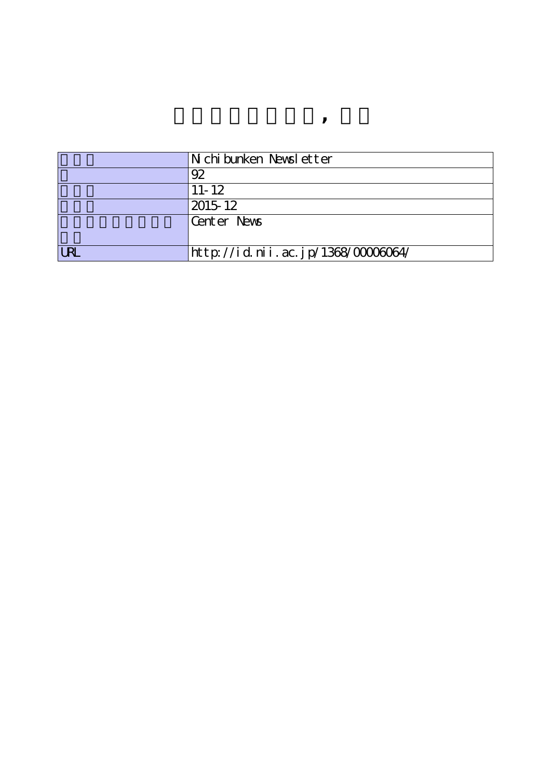|            | Nichibunken Newsletter             |
|------------|------------------------------------|
|            | 92                                 |
|            | $11 - 12$                          |
|            | 2015-12                            |
|            | Center News                        |
|            |                                    |
| <b>URL</b> | http://id.nii.ac.jp/1368/00006064/ |

**センターニュース, 奥付**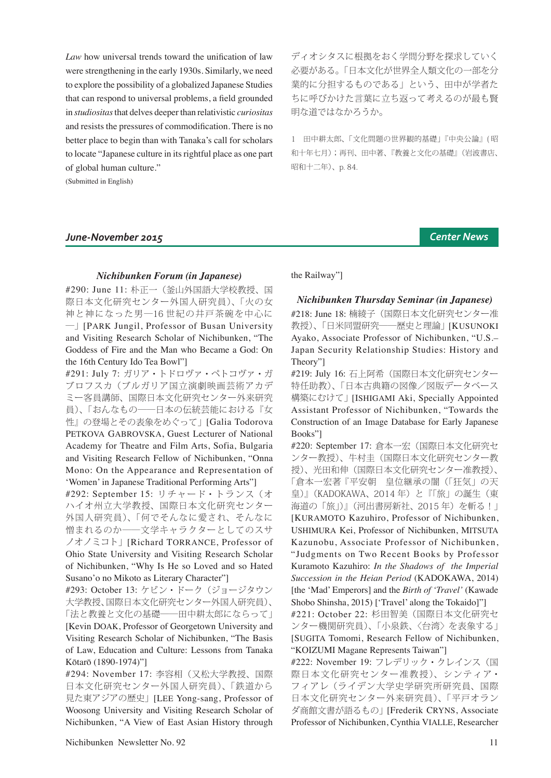*Law* how universal trends toward the unification of law were strengthening in the early 1930s. Similarly, we need to explore the possibility of a globalized Japanese Studies that can respond to universal problems, a field grounded in *studiositas* that delves deeper than relativistic *curiositas* and resists the pressures of commodification. There is no better place to begin than with Tanaka's call for scholars to locate "Japanese culture in its rightful place as one part of global human culture."

(Submitted in English)

## *June-November 2015 Center News*

ディオシタスに根拠をおく学問分野を探求していく 必要がある。「日本文化が世界全人類文化の一部を分 業的に分担するものである」という、田中が学者た ちに呼びかけた言葉に立ち返って考えるのが最も賢 明な道ではなかろうか。

1 田中耕太郎、「文化問題の世界観的基礎」『中央公論』( 昭 和十年七月);再刊、田中著、『教養と文化の基礎』(岩波書店、 昭和十二年)、p. 84.

#### *Nichibunken Forum (in Japanese)*

#290: June 11: 朴正一(釜山外国語大学校教授、国 際日本文化研究センター外国人研究員)、「火の女 神と神になった男―16 世紀の井戸茶碗を中心に ―」[PARK Jungil, Professor of Busan University and Visiting Research Scholar of Nichibunken, "The Goddess of Fire and the Man who Became a God: On the 16th Century Ido Tea Bowl"]

#291: July 7: ガリア・トドロヴァ・ペトコヴァ・ガ ブロフスカ(ブルガリア国立演劇映画芸術アカデ ミー客員講師、国際日本文化研究センター外来研究 員)、「おんなもの――日本の伝統芸能における『女 性』の登場とその表象をめぐって」[Galia Todorova PETKOVA GABROVSKA, Guest Lecturer of National Academy for Theatre and Film Arts, Sofia, Bulgaria and Visiting Research Fellow of Nichibunken, "Onna Mono: On the Appearance and Representation of 'Women' in Japanese Traditional Performing Arts"]

#292: September 15: リチャード・トランス(オ ハイオ州立大学教授、国際日本文化研究センター 外国人研究員)、「何でそんなに愛され、そんなに 憎まれるのか――文学キャラクターとしてのスサ ノオノミコト」[Richard TORRANCE, Professor of Ohio State University and Visiting Research Scholar of Nichibunken, "Why Is He so Loved and so Hated Susano'o no Mikoto as Literary Character"]

#293: October 13: ケビン・ドーク(ジョージタウン 大学教授、国際日本文化研究センター外国人研究員)、 「法と教養と文化の基礎――田中耕太郎にならって」 [Kevin DOAK, Professor of Georgetown University and Visiting Research Scholar of Nichibunken, "The Basis of Law, Education and Culture: Lessons from Tanaka Kōtarō (1890-1974)"]

#294: November 17: 李容相(又松大学教授、国際 日本文化研究センター外国人研究員)、「鉄道から 見た東アジアの歴史」[LEE Yong-sang, Professor of Woosong University and Visiting Research Scholar of Nichibunken, "A View of East Asian History through

the Railway"]

*Nichibunken Thursday Seminar (in Japanese)*

#218: June 18: 楠綾子(国際日本文化研究センター准 教授)、「日米同盟研究–––歴史と理論」 [KUSUNOKI Ayako, Associate Professor of Nichibunken, "U.S.– Japan Security Relationship Studies: History and Theory"]

#219: July 16: 石上阿希(国際日本文化研究センター 特任助教)、「日本古典籍の図像/図版データベース 構築にむけて」 [ISHIGAMI Aki, Specially Appointed Assistant Professor of Nichibunken, "Towards the Construction of an Image Database for Early Japanese Books"]

#220: September 17: 倉本一宏(国際日本文化研究セ ンター教授)、牛村圭(国際日本文化研究センター教 授)、光田和伸(国際日本文化研究センター准教授)、 「倉本一宏著 『平安朝 皇位継承の闇(「狂気」の天 皇)』(KADOKAWA、2014 年)と『「旅」の誕生(東 海道の「旅」)』(河出書房新社、2015年)を斬る!」 [KURAMOTO Kazuhiro, Professor of Nichibunken, USHIMURA Kei, Professor of Nichibunken, MITSUTA Kazunobu, Associate Professor of Nichibunken, "Judgments on Two Recent Books by Professor Kuramoto Kazuhiro: *In the Shadows of the Imperial Succession in the Heian Period* (KADOKAWA, 2014) [the 'Mad' Emperors] and the *Birth of 'Travel'* (Kawade Shobo Shinsha, 2015) ['Travel' along the Tokaido]"]

#221: October 22: 杉田智美(国際日本文化研究セ ンター機関研究員)、「小泉鉄、〈台湾〉 を表象する」 [SUGITA Tomomi, Research Fellow of Nichibunken, "KOIZUMI Magane Represents Taiwan"]

#222: November 19: フレデリック・クレインス(国 際日本文化研究センター准教授)、シンティア・ フィアレ(ライデン大学史学研究所研究員、国際 日本文化研究センター外来研究員)、「平戸オラン ダ商館文書が語るもの」 [Frederik CRYNS, Associate Professor of Nichibunken, Cynthia VIALLE, Researcher